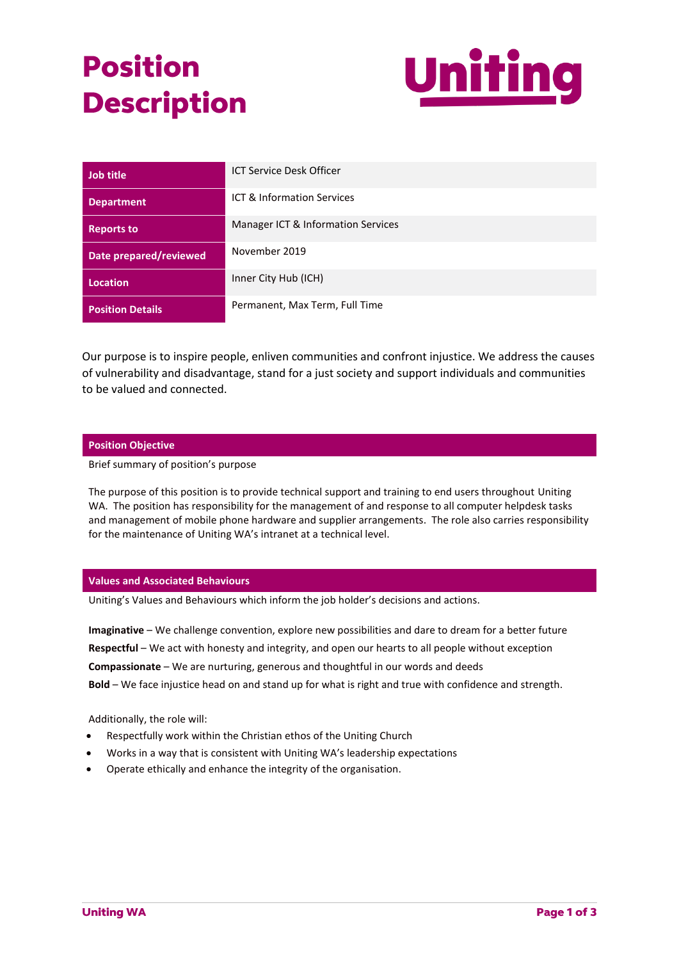# **Position Description**



| Job title               | <b>ICT Service Desk Officer</b>    |
|-------------------------|------------------------------------|
| <b>Department</b>       | ICT & Information Services         |
| <b>Reports to</b>       | Manager ICT & Information Services |
| Date prepared/reviewed  | November 2019                      |
| <b>Location</b>         | Inner City Hub (ICH)               |
| <b>Position Details</b> | Permanent, Max Term, Full Time     |

Our purpose is to inspire people, enliven communities and confront injustice. We address the causes of vulnerability and disadvantage, stand for a just society and support individuals and communities to be valued and connected.

## **Position Objective**

Brief summary of position's purpose

The purpose of this position is to provide technical support and training to end users throughout Uniting WA. The position has responsibility for the management of and response to all computer helpdesk tasks and management of mobile phone hardware and supplier arrangements. The role also carries responsibility for the maintenance of Uniting WA's intranet at a technical level.

#### **Values and Associated Behaviours**

Uniting's Values and Behaviours which inform the job holder's decisions and actions.

**Imaginative** – We challenge convention, explore new possibilities and dare to dream for a better future **Respectful** – We act with honesty and integrity, and open our hearts to all people without exception **Compassionate** – We are nurturing, generous and thoughtful in our words and deeds **Bold** – We face injustice head on and stand up for what is right and true with confidence and strength.

Additionally, the role will:

- Respectfully work within the Christian ethos of the Uniting Church
- Works in a way that is consistent with Uniting WA's leadership expectations
- Operate ethically and enhance the integrity of the organisation.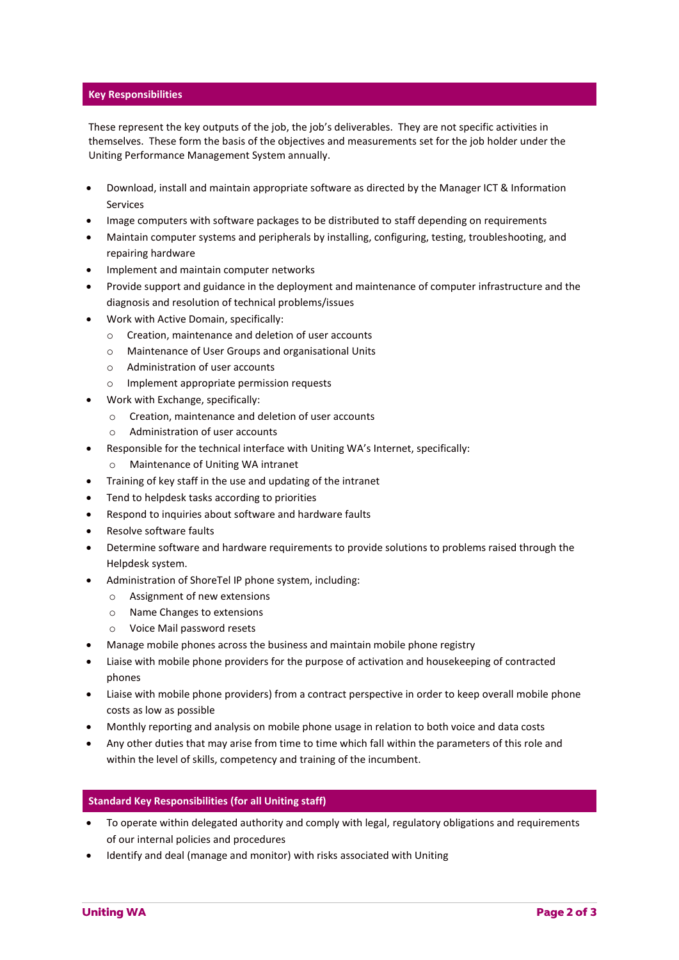## **Key Responsibilities**

These represent the key outputs of the job, the job's deliverables. They are not specific activities in themselves. These form the basis of the objectives and measurements set for the job holder under the Uniting Performance Management System annually.

- Download, install and maintain appropriate software as directed by the Manager ICT & Information Services
- Image computers with software packages to be distributed to staff depending on requirements
- Maintain computer systems and peripherals by installing, configuring, testing, troubleshooting, and repairing hardware
- Implement and maintain computer networks
- Provide support and guidance in the deployment and maintenance of computer infrastructure and the diagnosis and resolution of technical problems/issues
- Work with Active Domain, specifically:
	- o Creation, maintenance and deletion of user accounts
	- o Maintenance of User Groups and organisational Units
	- o Administration of user accounts
	- Implement appropriate permission requests
- Work with Exchange, specifically:
	- o Creation, maintenance and deletion of user accounts
	- o Administration of user accounts
- Responsible for the technical interface with Uniting WA's Internet, specifically:
	- o Maintenance of Uniting WA intranet
- Training of key staff in the use and updating of the intranet
- Tend to helpdesk tasks according to priorities
- Respond to inquiries about software and hardware faults
- Resolve software faults
- Determine software and hardware requirements to provide solutions to problems raised through the Helpdesk system.
- Administration of ShoreTel IP phone system, including:
	- o Assignment of new extensions
	- o Name Changes to extensions
	- o Voice Mail password resets
- Manage mobile phones across the business and maintain mobile phone registry
- Liaise with mobile phone providers for the purpose of activation and housekeeping of contracted phones
- Liaise with mobile phone providers) from a contract perspective in order to keep overall mobile phone costs as low as possible
- Monthly reporting and analysis on mobile phone usage in relation to both voice and data costs
- Any other duties that may arise from time to time which fall within the parameters of this role and within the level of skills, competency and training of the incumbent.

## **Standard Key Responsibilities (for all Uniting staff)**

- To operate within delegated authority and comply with legal, regulatory obligations and requirements of our internal policies and procedures
- Identify and deal (manage and monitor) with risks associated with Uniting